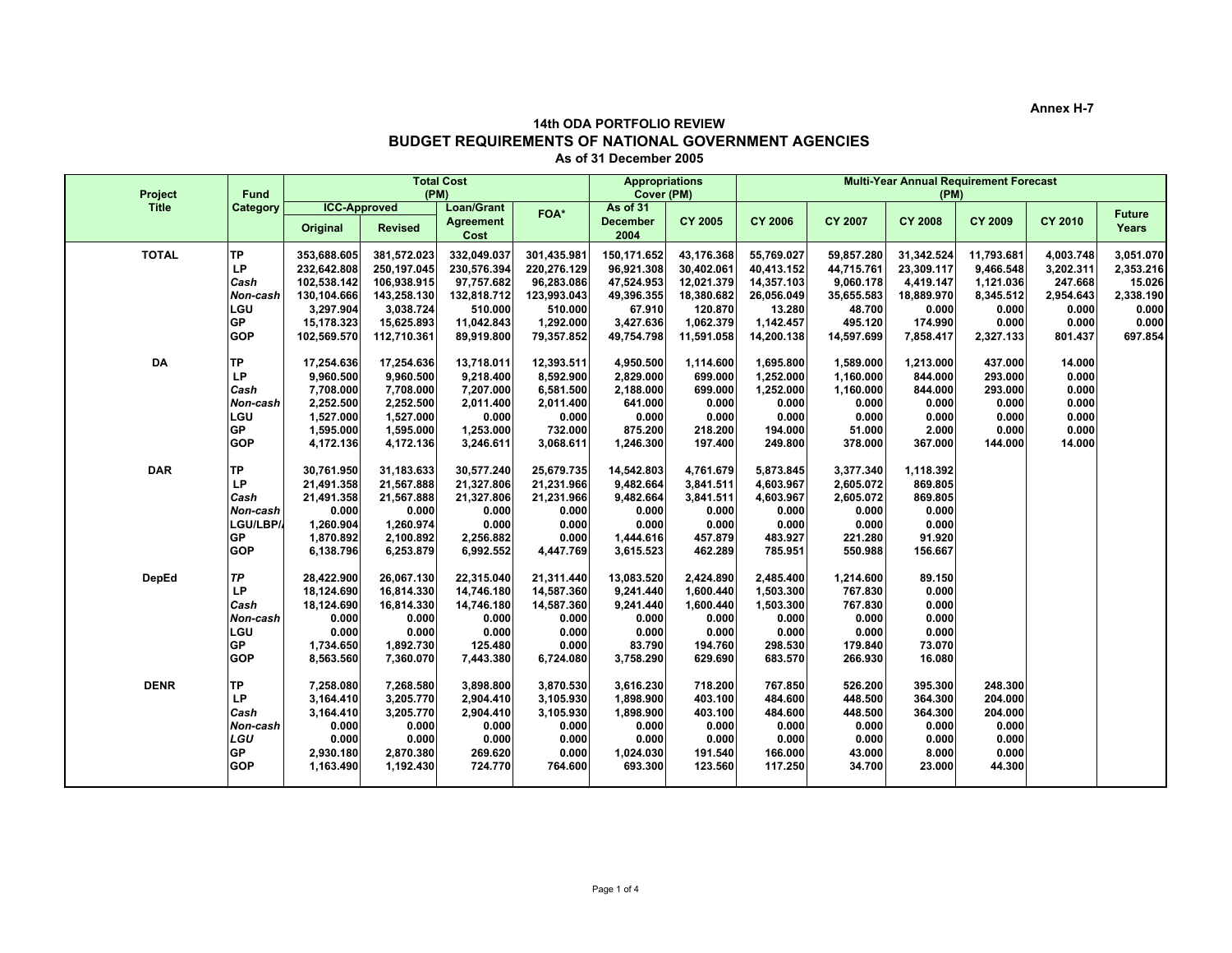**Annex H-7**

## **14th ODA PORTFOLIO REVIEW BUDGET REQUIREMENTS OF NATIONAL GOVERNMENT AGENCIES As of 31 December 2005**

| Project      | <b>Fund</b>                                                                | <b>Total Cost</b><br>(PM)                                                                          |                                                                                                    |                                                                                                |                                                                                               | <b>Appropriations</b><br>Cover (PM)                                                        |                                                                                            | <b>Multi-Year Annual Requirement Forecast</b><br>(PM)                                     |                                                                                        |                                                                                      |                                                                                  |                                                                             |                                                                            |
|--------------|----------------------------------------------------------------------------|----------------------------------------------------------------------------------------------------|----------------------------------------------------------------------------------------------------|------------------------------------------------------------------------------------------------|-----------------------------------------------------------------------------------------------|--------------------------------------------------------------------------------------------|--------------------------------------------------------------------------------------------|-------------------------------------------------------------------------------------------|----------------------------------------------------------------------------------------|--------------------------------------------------------------------------------------|----------------------------------------------------------------------------------|-----------------------------------------------------------------------------|----------------------------------------------------------------------------|
| <b>Title</b> | Category                                                                   | Original                                                                                           | <b>ICC-Approved</b><br><b>Revised</b>                                                              | <b>Loan/Grant</b><br><b>Agreement</b><br>Cost                                                  | FOA*                                                                                          | As of 31<br><b>December</b><br>2004                                                        | <b>CY 2005</b>                                                                             | <b>CY 2006</b>                                                                            | CY 2007                                                                                | <b>CY 2008</b>                                                                       | <b>CY 2009</b>                                                                   | <b>CY 2010</b>                                                              | <b>Future</b><br>Years                                                     |
| <b>TOTAL</b> | <b>TP</b><br>LP<br>Cash<br>Non-cash<br>LGU<br><b>GP</b><br><b>GOP</b>      | 353,688.605<br>232,642.808<br>102,538.142<br>130,104.666<br>3,297.904<br>15,178.323<br>102,569.570 | 381,572.023<br>250,197.045<br>106,938.915<br>143,258.130<br>3,038.724<br>15,625.893<br>112,710.361 | 332,049.037<br>230,576.394<br>97,757.682<br>132,818.712<br>510.000<br>11,042.843<br>89,919.800 | 301,435.981<br>220,276.129<br>96,283.086<br>123,993.043<br>510.000<br>1,292.000<br>79,357.852 | 150,171.652<br>96,921.308<br>47,524.953<br>49,396.355<br>67.910<br>3,427.636<br>49,754.798 | 43,176.368<br>30,402.061<br>12,021.379<br>18,380.682<br>120.870<br>1,062.379<br>11,591.058 | 55,769.027<br>40,413.152<br>14,357.103<br>26,056.049<br>13.280<br>1,142.457<br>14,200.138 | 59,857.280<br>44,715.761<br>9,060.178<br>35,655.583<br>48.700<br>495.120<br>14,597.699 | 31,342.524<br>23,309.117<br>4,419.147<br>18,889.970<br>0.000<br>174.990<br>7,858.417 | 11,793.681<br>9,466.548<br>1,121.036<br>8,345.512<br>0.000<br>0.000<br>2,327.133 | 4,003.748<br>3,202.311<br>247.668<br>2,954.643<br>0.000<br>0.000<br>801.437 | 3,051.070<br>2,353.216<br>15.026<br>2,338.190<br>0.000<br>0.000<br>697.854 |
| DA           | TP<br>LP<br>Cash<br>Non-cash<br>LGU<br><b>GP</b><br><b>GOP</b>             | 17,254.636<br>9,960.500<br>7,708.000<br>2,252.500<br>1,527.000<br>1,595.000<br>4,172.136           | 17,254.636<br>9,960.500<br>7,708.000<br>2,252.500<br>1,527.000<br>1,595.000<br>4,172.136           | 13,718.011<br>9,218.400<br>7,207.000<br>2,011.400<br>0.000<br>1,253.000<br>3,246.611           | 12,393.511<br>8,592.900<br>6,581.500<br>2,011.400<br>0.000<br>732.000<br>3,068.611            | 4,950.500<br>2,829.000<br>2,188.000<br>641.000<br>0.000<br>875.200<br>1,246.300            | 1,114.600<br>699.000<br>699.000<br>0.000<br>0.000<br>218.200<br>197.400                    | 1,695.800<br>1,252.000<br>1,252.000<br>0.000<br>0.000<br>194.000<br>249.800               | 1,589.000<br>1,160.000<br>1,160.000<br>0.000<br>0.000<br>51.000<br>378.000             | 1,213.000<br>844.000<br>844.000<br>0.000<br>0.000<br>2.000<br>367.000                | 437.000<br>293.000<br>293.000<br>0.000<br>0.000<br>0.000<br>144.000              | 14.000<br>0.000<br>0.000<br>0.000<br>0.000<br>0.000<br>14.000               |                                                                            |
| <b>DAR</b>   | <b>TP</b><br>LP<br>Cash<br>Non-cash<br>LGU/LBP/<br><b>GP</b><br><b>GOP</b> | 30,761.950<br>21,491.358<br>21.491.358<br>0.000<br>1,260.904<br>1,870.892<br>6,138.796             | 31,183.633<br>21,567.888<br>21,567.888<br>0.000<br>1,260.974<br>2,100.892<br>6,253.879             | 30,577.240<br>21,327.806<br>21,327.806<br>0.000<br>0.000<br>2,256.882<br>6,992.552             | 25,679.735<br>21,231.966<br>21,231.966<br>0.000<br>0.000<br>0.000<br>4,447.769                | 14,542.803<br>9,482.664<br>9,482.664<br>0.000<br>0.000<br>1,444.616<br>3,615.523           | 4,761.679<br>3,841.511<br>3,841.511<br>0.000<br>0.000<br>457.879<br>462.289                | 5,873.845<br>4,603.967<br>4,603.967<br>0.000<br>0.000<br>483.927<br>785.951               | 3,377.340<br>2,605.072<br>2,605.072<br>0.000<br>0.000<br>221.280<br>550.988            | 1,118.392<br>869.805<br>869.805<br>0.000<br>0.000<br>91.920<br>156.667               |                                                                                  |                                                                             |                                                                            |
| DepEd        | TP<br>LP<br>Cash<br>Non-cash<br>LGU<br><b>GP</b><br><b>GOP</b>             | 28,422.900<br>18,124.690<br>18,124.690<br>0.000<br>0.000<br>1,734.650<br>8,563.560                 | 26,067.130<br>16,814.330<br>16,814.330<br>0.000<br>0.000<br>1,892.730<br>7,360.070                 | 22,315.040<br>14,746.180<br>14,746.180<br>0.000<br>0.000<br>125.480<br>7,443.380               | 21,311.440<br>14,587.360<br>14,587.360<br>0.000<br>0.000<br>0.000<br>6,724.080                | 13,083.520<br>9,241.440<br>9,241.440<br>0.000<br>0.000<br>83.790<br>3,758.290              | 2,424.890<br>1,600.440<br>1,600.440<br>0.000<br>0.000<br>194.760<br>629.690                | 2,485.400<br>1,503.300<br>1,503.300<br>0.000<br>0.000<br>298.530<br>683.570               | 1,214.600<br>767.830<br>767.830<br>0.000<br>0.000<br>179.840<br>266.930                | 89.150<br>0.000<br>0.000<br>0.000<br>0.000<br>73.070<br>16.080                       |                                                                                  |                                                                             |                                                                            |
| <b>DENR</b>  | TP<br>LP<br>Cash<br>Non-cash<br>LGU<br><b>GP</b><br><b>GOP</b>             | 7,258.080<br>3,164.410<br>3,164.410<br>0.000<br>0.000<br>2,930.180<br>1,163.490                    | 7,268.580<br>3,205.770<br>3,205.770<br>0.000<br>0.000<br>2,870.380<br>1,192.430                    | 3,898.800<br>2,904.410<br>2,904.410<br>0.000<br>0.000<br>269.620<br>724.770                    | 3,870.530<br>3,105.930<br>3,105.930<br>0.000<br>0.000<br>0.000<br>764.600                     | 3,616.230<br>1,898.900<br>1,898.900<br>0.000<br>0.000<br>1,024.030<br>693.300              | 718.200<br>403.100<br>403.100<br>0.000<br>0.000<br>191.540<br>123.560                      | 767.850<br>484.600<br>484.600<br>0.000<br>0.000<br>166.000<br>117.250                     | 526.200<br>448.500<br>448.500<br>0.000<br>0.000<br>43.000<br>34.700                    | 395.300<br>364.300<br>364.300<br>0.000<br>0.000<br>8.000<br>23.000                   | 248.300<br>204.000<br>204.000<br>0.000<br>0.000<br>0.000<br>44.300               |                                                                             |                                                                            |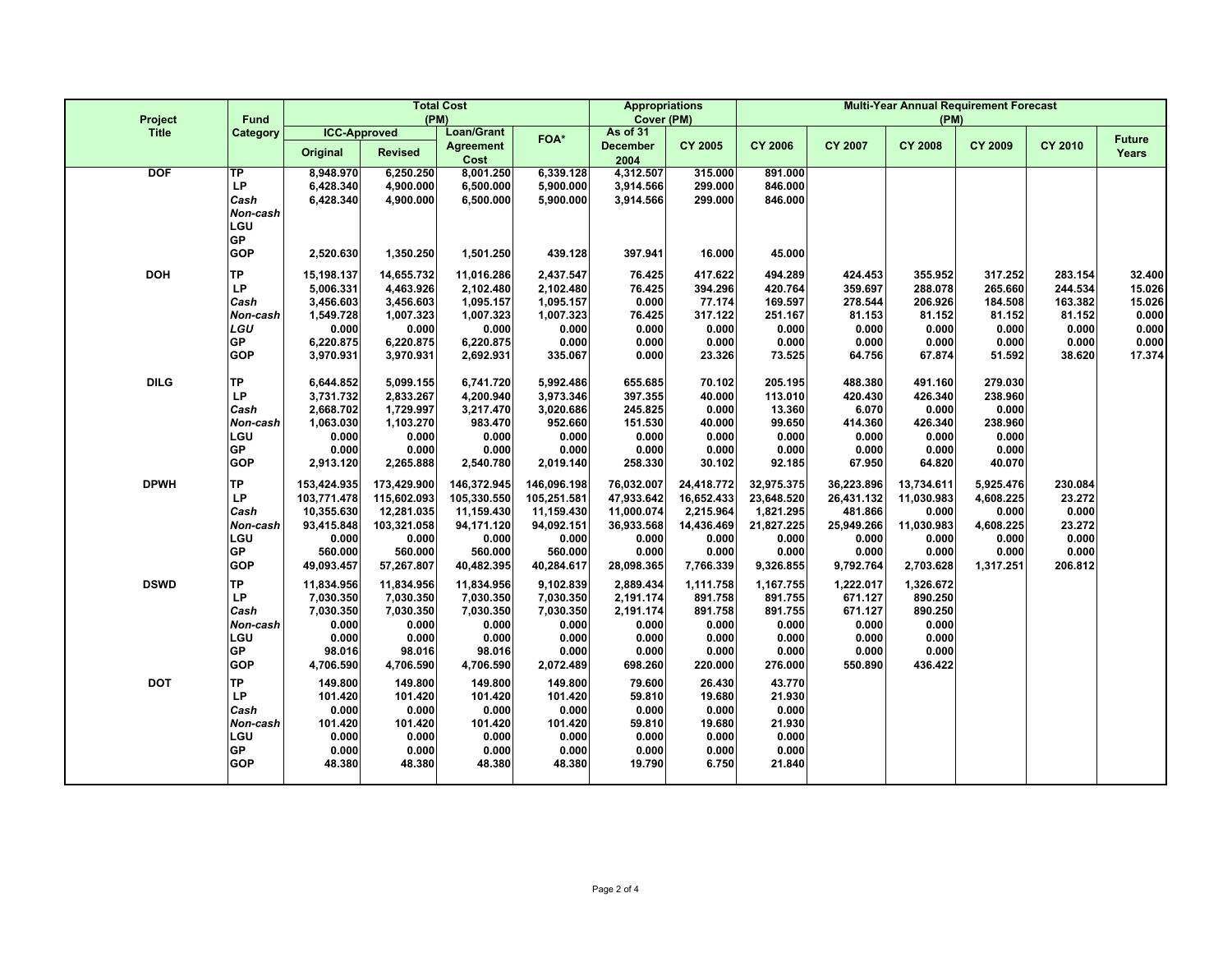| Project      | <b>Fund</b>                                                                  |                                                                                          | <b>Total Cost</b><br>(PM)                                                                 | <b>Appropriations</b><br>Cover (PM)                                                      |                                                                                          | <b>Multi-Year Annual Requirement Forecast</b><br>(PM)                                |                                                                                    |                                                                                    |                                                                                  |                                                                                |                                                                             |                                                                     |                                                                 |
|--------------|------------------------------------------------------------------------------|------------------------------------------------------------------------------------------|-------------------------------------------------------------------------------------------|------------------------------------------------------------------------------------------|------------------------------------------------------------------------------------------|--------------------------------------------------------------------------------------|------------------------------------------------------------------------------------|------------------------------------------------------------------------------------|----------------------------------------------------------------------------------|--------------------------------------------------------------------------------|-----------------------------------------------------------------------------|---------------------------------------------------------------------|-----------------------------------------------------------------|
| <b>Title</b> | Category                                                                     | <b>ICC-Approved</b><br>Original                                                          | <b>Revised</b>                                                                            | <b>Loan/Grant</b><br><b>Agreement</b><br>Cost                                            | FOA*                                                                                     | As of 31<br><b>December</b><br>2004                                                  | <b>CY 2005</b>                                                                     | <b>CY 2006</b>                                                                     | <b>CY 2007</b>                                                                   | <b>CY 2008</b>                                                                 | <b>CY 2009</b>                                                              | <b>CY 2010</b>                                                      | <b>Future</b><br>Years                                          |
| <b>DOF</b>   | TP<br>LP<br>Cash<br>Non-cash<br>LGU<br>GP<br><b>GOP</b>                      | 8.948.970<br>6,428.340<br>6,428.340<br>2,520.630                                         | 6,250.250<br>4,900.000<br>4,900.000<br>1,350.250                                          | 8,001.250<br>6,500.000<br>6,500.000<br>1,501.250                                         | 6,339.128<br>5,900.000<br>5,900.000<br>439.128                                           | 4,312.507<br>3,914.566<br>3,914.566<br>397.941                                       | 315.000<br>299.000<br>299.000<br>16.000                                            | 891.000<br>846.000<br>846.000<br>45.000                                            |                                                                                  |                                                                                |                                                                             |                                                                     |                                                                 |
| <b>DOH</b>   | <b>TP</b><br>LP<br>Cash<br>Non-cash<br>LGU<br>GP<br><b>GOP</b>               | 15,198.137<br>5,006.331<br>3,456.603<br>1,549.728<br>0.000<br>6,220.875<br>3,970.931     | 14,655.732<br>4,463.926<br>3,456.603<br>1,007.323<br>0.000<br>6,220.875<br>3,970.931      | 11,016.286<br>2,102.480<br>1,095.157<br>1,007.323<br>0.000<br>6,220.875<br>2,692.931     | 2,437.547<br>2,102.480<br>1,095.157<br>1,007.323<br>0.000<br>0.000<br>335.067            | 76.425<br>76.425<br>0.000<br>76.425<br>0.000<br>0.000<br>0.000                       | 417.622<br>394.296<br>77.174<br>317.122<br>0.000<br>0.000<br>23.326                | 494.289<br>420.764<br>169.597<br>251.167<br>0.000<br>0.000<br>73.525               | 424.453<br>359.697<br>278.544<br>81.153<br>0.000<br>0.000<br>64.756              | 355.952<br>288.078<br>206.926<br>81.152<br>0.000<br>0.000<br>67.874            | 317.252<br>265.660<br>184.508<br>81.152<br>0.000<br>0.000<br>51.592         | 283.154<br>244.534<br>163.382<br>81.152<br>0.000<br>0.000<br>38.620 | 32.400<br>15.026<br>15.026<br>0.000<br>0.000<br>0.000<br>17.374 |
| <b>DILG</b>  | <b>TP</b><br>LP<br>Cash<br>Non-cash<br>LGU<br>GP<br><b>GOP</b>               | 6,644.852<br>3,731.732<br>2,668.702<br>1,063.030<br>0.000<br>0.000<br>2,913.120          | 5,099.155<br>2,833.267<br>1,729.997<br>1,103.270<br>0.000<br>0.000<br>2,265.888           | 6,741.720<br>4,200.940<br>3,217.470<br>983.470<br>0.000<br>0.000<br>2,540.780            | 5,992.486<br>3,973.346<br>3,020.686<br>952.660<br>0.000<br>0.000<br>2,019.140            | 655.685<br>397.355<br>245.825<br>151.530<br>0.000<br>0.000<br>258.330                | 70.102<br>40.000<br>0.000<br>40.000<br>0.000<br>0.000<br>30.102                    | 205.195<br>113.010<br>13.360<br>99.650<br>0.000<br>0.000<br>92.185                 | 488.380<br>420.430<br>6.070<br>414.360<br>0.000<br>0.000<br>67.950               | 491.160<br>426.340<br>0.000<br>426.340<br>0.000<br>0.000<br>64.820             | 279.030<br>238.960<br>0.000<br>238.960<br>0.000<br>0.000<br>40.070          |                                                                     |                                                                 |
| <b>DPWH</b>  | <b>TP</b><br>LP<br>Cash<br>Non-cash<br>LGU<br><b>GP</b><br><b>GOP</b>        | 153,424.935<br>103,771.478<br>10,355.630<br>93,415.848<br>0.000<br>560.000<br>49,093.457 | 173,429.900<br>115,602.093<br>12,281.035<br>103,321.058<br>0.000<br>560.000<br>57,267.807 | 146,372.945<br>105,330.550<br>11,159.430<br>94,171.120<br>0.000<br>560.000<br>40,482.395 | 146,096.198<br>105,251.581<br>11,159.430<br>94,092.151<br>0.000<br>560.000<br>40,284.617 | 76,032.007<br>47,933.642<br>11,000.074<br>36,933.568<br>0.000<br>0.000<br>28,098.365 | 24,418.772<br>16,652.433<br>2,215.964<br>14,436.469<br>0.000<br>0.000<br>7,766.339 | 32,975.375<br>23,648.520<br>1,821.295<br>21,827.225<br>0.000<br>0.000<br>9,326.855 | 36,223.896<br>26,431.132<br>481.866<br>25,949.266<br>0.000<br>0.000<br>9,792.764 | 13,734.611<br>11,030.983<br>0.000<br>11,030.983<br>0.000<br>0.000<br>2,703.628 | 5,925.476<br>4,608.225<br>0.000<br>4,608.225<br>0.000<br>0.000<br>1,317.251 | 230.084<br>23.272<br>0.000<br>23.272<br>0.000<br>0.000<br>206.812   |                                                                 |
| <b>DSWD</b>  | <b>TP</b><br>LP<br>Cash<br>Non-cash<br>LGU<br>GP<br><b>GOP</b>               | 11,834.956<br>7,030.350<br>7,030.350<br>0.000<br>0.000<br>98.016<br>4,706.590            | 11,834.956<br>7,030.350<br>7,030.350<br>0.000<br>0.000<br>98.016<br>4,706.590             | 11,834.956<br>7,030.350<br>7,030.350<br>0.000<br>0.000<br>98.016<br>4,706.590            | 9,102.839<br>7,030.350<br>7,030.350<br>0.000<br>0.000<br>0.000<br>2,072.489              | 2,889.434<br>2,191.174<br>2,191.174<br>0.000<br>0.000<br>0.000<br>698.260            | 1,111.758<br>891.758<br>891.758<br>0.000<br>0.000<br>0.000<br>220.000              | 1,167.755<br>891.755<br>891.755<br>0.000<br>0.000<br>0.000<br>276.000              | 1,222.017<br>671.127<br>671.127<br>0.000<br>0.000<br>0.000<br>550.890            | 1,326.672<br>890.250<br>890.250<br>0.000<br>0.000<br>0.000<br>436.422          |                                                                             |                                                                     |                                                                 |
| <b>DOT</b>   | <b>TP</b><br><b>LP</b><br>Cash<br>Non-cash<br>LGU<br><b>GP</b><br><b>GOP</b> | 149.800<br>101.420<br>0.000<br>101.420<br>0.000<br>0.000<br>48.380                       | 149.800<br>101.420<br>0.000<br>101.420<br>0.000<br>0.000<br>48.380                        | 149.800<br>101.420<br>0.000<br>101.420<br>0.000<br>0.000<br>48.380                       | 149.800<br>101.420<br>0.000<br>101.420<br>0.000<br>0.000<br>48.380                       | 79.600<br>59.810<br>0.000<br>59.810<br>0.000<br>0.000<br>19.790                      | 26.430<br>19.680<br>0.000<br>19.680<br>0.000<br>0.000<br>6.750                     | 43.770<br>21.930<br>0.000<br>21.930<br>0.000<br>0.000<br>21.840                    |                                                                                  |                                                                                |                                                                             |                                                                     |                                                                 |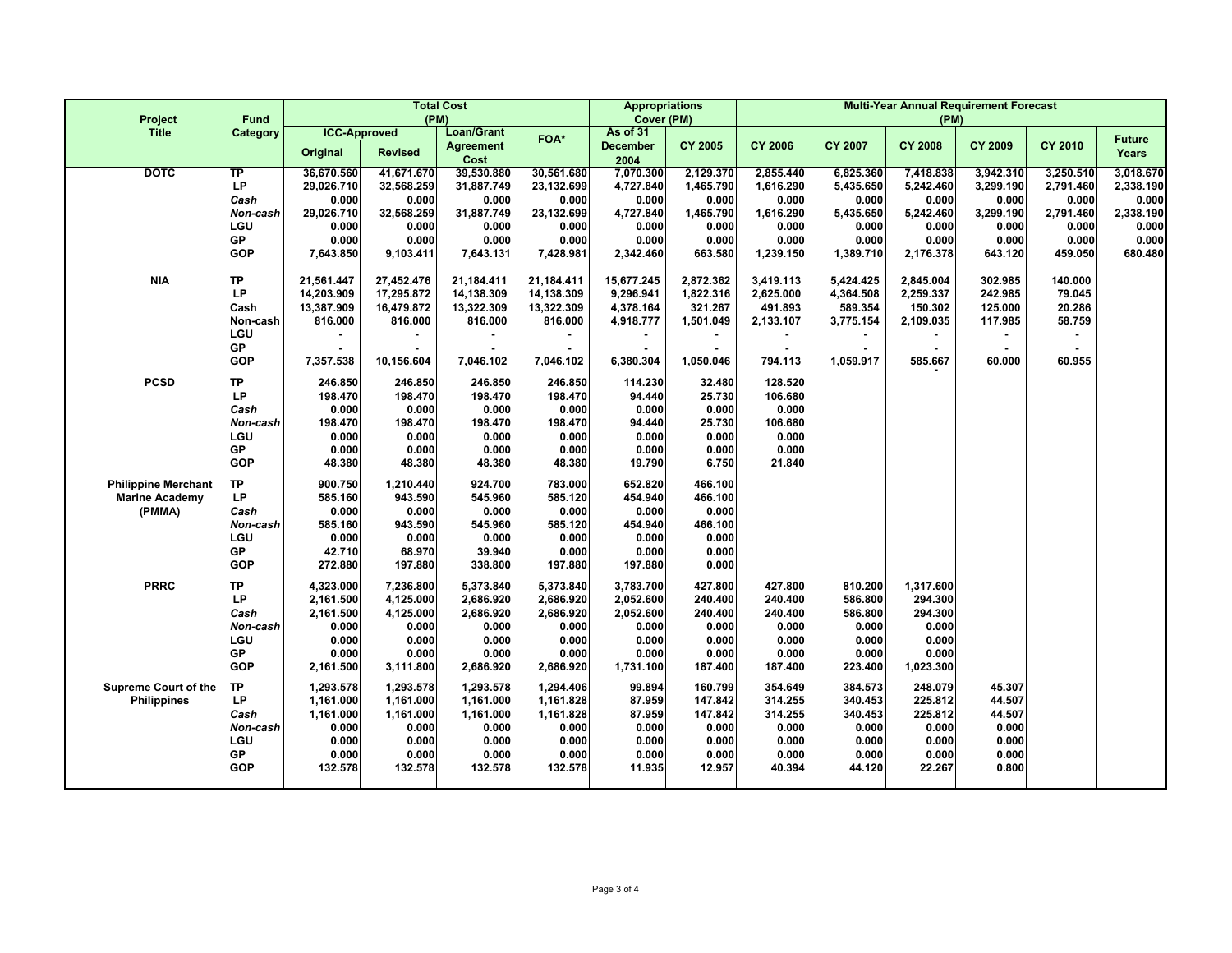| Project                     | <b>Fund</b>      | <b>Total Cost</b><br>(PM) |                        |                          |                        |                         | <b>Appropriations</b><br>Cover (PM) | <b>Multi-Year Annual Requirement Forecast</b><br>(PM) |                    |                      |                    |                    |                    |  |
|-----------------------------|------------------|---------------------------|------------------------|--------------------------|------------------------|-------------------------|-------------------------------------|-------------------------------------------------------|--------------------|----------------------|--------------------|--------------------|--------------------|--|
| <b>Title</b>                | Category         | <b>ICC-Approved</b>       |                        | <b>Loan/Grant</b>        | FOA*                   | As of 31                |                                     |                                                       |                    |                      |                    |                    | <b>Future</b>      |  |
|                             |                  | Original                  | <b>Revised</b>         | <b>Agreement</b><br>Cost |                        | <b>December</b><br>2004 | <b>CY 2005</b>                      | <b>CY 2006</b>                                        | <b>CY 2007</b>     | <b>CY 2008</b>       | <b>CY 2009</b>     | <b>CY 2010</b>     | Years              |  |
| <b>DOTC</b>                 | TP               | 36,670.560                | 41,671.670             | 39,530.880               | 30,561.680             | 7,070.300               | 2,129.370                           | 2,855.440                                             | 6,825.360          | 7,418.838            | 3,942.310          | 3,250.510          | 3,018.670          |  |
|                             | LP               | 29,026.710                | 32,568.259             | 31,887.749               | 23,132.699             | 4,727.840               | 1,465.790                           | 1,616.290                                             | 5,435.650          | 5,242.460            | 3,299.190          | 2,791.460          | 2,338.190          |  |
|                             | Cash<br>Non-cash | 0.000<br>29,026.710       | 0.000<br>32,568.259    | 0.000<br>31,887.749      | 0.000<br>23,132.699    | 0.000<br>4,727.840      | 0.000<br>1,465.790                  | 0.000<br>1,616.290                                    | 0.000<br>5,435.650 | 0.000<br>5,242.460   | 0.000<br>3,299.190 | 0.000<br>2,791.460 | 0.000<br>2,338.190 |  |
|                             | LGU              | 0.000                     | 0.000                  | 0.000                    | 0.000                  | 0.000                   | 0.000                               | 0.000                                                 | 0.000              | 0.000                | 0.000              | 0.000              | 0.000              |  |
|                             | <b>GP</b>        | 0.000                     | 0.000                  | 0.000                    | 0.000                  | 0.000                   | 0.000                               | 0.000                                                 | 0.000              | 0.000                | 0.000              | 0.000              | 0.000              |  |
|                             | <b>GOP</b>       | 7,643.850                 | 9,103.411              | 7,643.131                | 7,428.981              | 2,342.460               | 663.580                             | 1,239.150                                             | 1,389.710          | 2,176.378            | 643.120            | 459.050            | 680.480            |  |
| <b>NIA</b>                  | <b>TP</b>        | 21,561.447                | 27,452.476             | 21,184.411               | 21,184.411             | 15,677.245              | 2,872.362                           | 3,419.113                                             | 5,424.425          | 2,845.004            | 302.985            | 140.000            |                    |  |
|                             | LP               | 14,203.909                | 17,295.872             | 14,138.309               | 14,138.309             | 9,296.941               | 1,822.316                           | 2,625.000                                             | 4,364.508          | 2,259.337            | 242.985            | 79.045             |                    |  |
|                             | Cash             | 13,387.909                | 16,479.872             | 13,322.309               | 13,322.309             | 4,378.164               | 321.267                             | 491.893                                               | 589.354            | 150.302              | 125.000            | 20.286             |                    |  |
|                             | Non-cash         | 816.000                   | 816.000                | 816.000                  | 816.000                | 4,918.777               | 1,501.049                           | 2,133.107                                             | 3,775.154          | 2,109.035            | 117.985            | 58.759             |                    |  |
|                             | LGU<br><b>GP</b> |                           |                        |                          |                        |                         |                                     |                                                       |                    |                      |                    |                    |                    |  |
|                             | <b>GOP</b>       | 7,357.538                 | 10,156.604             | 7,046.102                | 7,046.102              | 6,380.304               | $\blacksquare$<br>1,050.046         | $\blacksquare$<br>794.113                             | 1,059.917          | 585.667              | 60.000             | 60.955             |                    |  |
| <b>PCSD</b>                 | <b>TP</b>        | 246.850                   | 246.850                | 246.850                  | 246.850                | 114.230                 | 32.480                              | 128.520                                               |                    |                      |                    |                    |                    |  |
|                             | LP               | 198.470                   | 198.470                | 198.470                  | 198.470                | 94.440                  | 25.730                              | 106.680                                               |                    |                      |                    |                    |                    |  |
|                             | Cash             | 0.000                     | 0.000                  | 0.000                    | 0.000                  | 0.000                   | 0.000                               | 0.000                                                 |                    |                      |                    |                    |                    |  |
|                             | Non-cash         | 198.470                   | 198.470                | 198.470                  | 198.470                | 94.440                  | 25.730                              | 106.680                                               |                    |                      |                    |                    |                    |  |
|                             | LGU              | 0.000                     | 0.000                  | 0.000                    | 0.000                  | 0.000                   | 0.000                               | 0.000                                                 |                    |                      |                    |                    |                    |  |
|                             | <b>GP</b>        | 0.000                     | 0.000                  | 0.000                    | 0.000                  | 0.000                   | 0.000                               | 0.000                                                 |                    |                      |                    |                    |                    |  |
|                             | <b>GOP</b>       | 48.380                    | 48.380                 | 48.380                   | 48.380                 | 19.790                  | 6.750                               | 21.840                                                |                    |                      |                    |                    |                    |  |
| <b>Philippine Merchant</b>  | ТP               | 900.750                   | 1,210.440              | 924.700                  | 783.000                | 652.820                 | 466.100                             |                                                       |                    |                      |                    |                    |                    |  |
| <b>Marine Academy</b>       | <b>LP</b>        | 585.160                   | 943.590                | 545.960                  | 585.120                | 454.940                 | 466.100                             |                                                       |                    |                      |                    |                    |                    |  |
| (PMMA)                      | Cash             | 0.000                     | 0.000                  | 0.000                    | 0.000                  | 0.000                   | 0.000                               |                                                       |                    |                      |                    |                    |                    |  |
|                             | Non-cash         | 585.160                   | 943.590                | 545.960                  | 585.120                | 454.940                 | 466.100                             |                                                       |                    |                      |                    |                    |                    |  |
|                             | LGU<br><b>GP</b> | 0.000<br>42.710           | 0.000<br>68.970        | 0.000<br>39.940          | 0.000                  | 0.000                   | 0.000                               |                                                       |                    |                      |                    |                    |                    |  |
|                             | <b>GOP</b>       | 272.880                   | 197.880                | 338.800                  | 0.000<br>197.880       | 0.000<br>197.880        | 0.000<br>0.000                      |                                                       |                    |                      |                    |                    |                    |  |
|                             |                  |                           |                        |                          |                        |                         |                                     |                                                       |                    |                      |                    |                    |                    |  |
| <b>PRRC</b>                 | <b>TP</b><br>LP  | 4,323.000<br>2,161.500    | 7,236.800<br>4,125.000 | 5,373.840<br>2,686.920   | 5,373.840<br>2,686.920 | 3,783.700<br>2,052.600  | 427.800<br>240.400                  | 427.800<br>240.400                                    | 810.200<br>586.800 | 1,317.600<br>294.300 |                    |                    |                    |  |
|                             | Cash             | 2,161.500                 | 4,125.000              | 2,686.920                | 2,686.920              | 2,052.600               | 240.400                             | 240.400                                               | 586.800            | 294.300              |                    |                    |                    |  |
|                             | Non-cash         | 0.000                     | 0.000                  | 0.000                    | 0.000                  | 0.000                   | 0.000                               | 0.000                                                 | 0.000              | 0.000                |                    |                    |                    |  |
|                             | LGU              | 0.000                     | 0.000                  | 0.000                    | 0.000                  | 0.000                   | 0.000                               | 0.000                                                 | 0.000              | 0.000                |                    |                    |                    |  |
|                             | GP               | 0.000                     | 0.000                  | 0.000                    | 0.000                  | 0.000                   | 0.000                               | 0.000                                                 | 0.000              | 0.000                |                    |                    |                    |  |
|                             | <b>GOP</b>       | 2,161.500                 | 3,111.800              | 2,686.920                | 2,686.920              | 1,731.100               | 187.400                             | 187.400                                               | 223.400            | 1,023.300            |                    |                    |                    |  |
| <b>Supreme Court of the</b> | TР               | 1.293.578                 | 1,293.578              | 1.293.578                | 1,294.406              | 99.894                  | 160.799                             | 354.649                                               | 384.573            | 248.079              | 45.307             |                    |                    |  |
| <b>Philippines</b>          | LP               | 1,161.000                 | 1,161.000              | 1,161.000                | 1,161.828              | 87.959                  | 147.842                             | 314.255                                               | 340.453            | 225.812              | 44.507             |                    |                    |  |
|                             | Cash             | 1,161.000                 | 1,161.000              | 1,161.000                | 1,161.828              | 87.959                  | 147.842                             | 314.255                                               | 340.453            | 225.812              | 44.507             |                    |                    |  |
|                             | Non-cash         | 0.000                     | 0.000                  | 0.000                    | 0.000                  | 0.000                   | 0.000                               | 0.000                                                 | 0.000              | 0.000                | 0.000              |                    |                    |  |
|                             | LGU<br><b>GP</b> | 0.000                     | 0.000                  | 0.000                    | 0.000                  | 0.000                   | 0.000                               | 0.000                                                 | 0.000              | 0.000                | 0.000              |                    |                    |  |
|                             | <b>GOP</b>       | 0.000<br>132.578          | 0.000<br>132.578       | 0.000<br>132.578         | 0.000<br>132.578       | 0.000<br>11.935         | 0.000<br>12.957                     | 0.000<br>40.394                                       | 0.000<br>44.120    | 0.000<br>22.267      | 0.000<br>0.800     |                    |                    |  |
|                             |                  |                           |                        |                          |                        |                         |                                     |                                                       |                    |                      |                    |                    |                    |  |